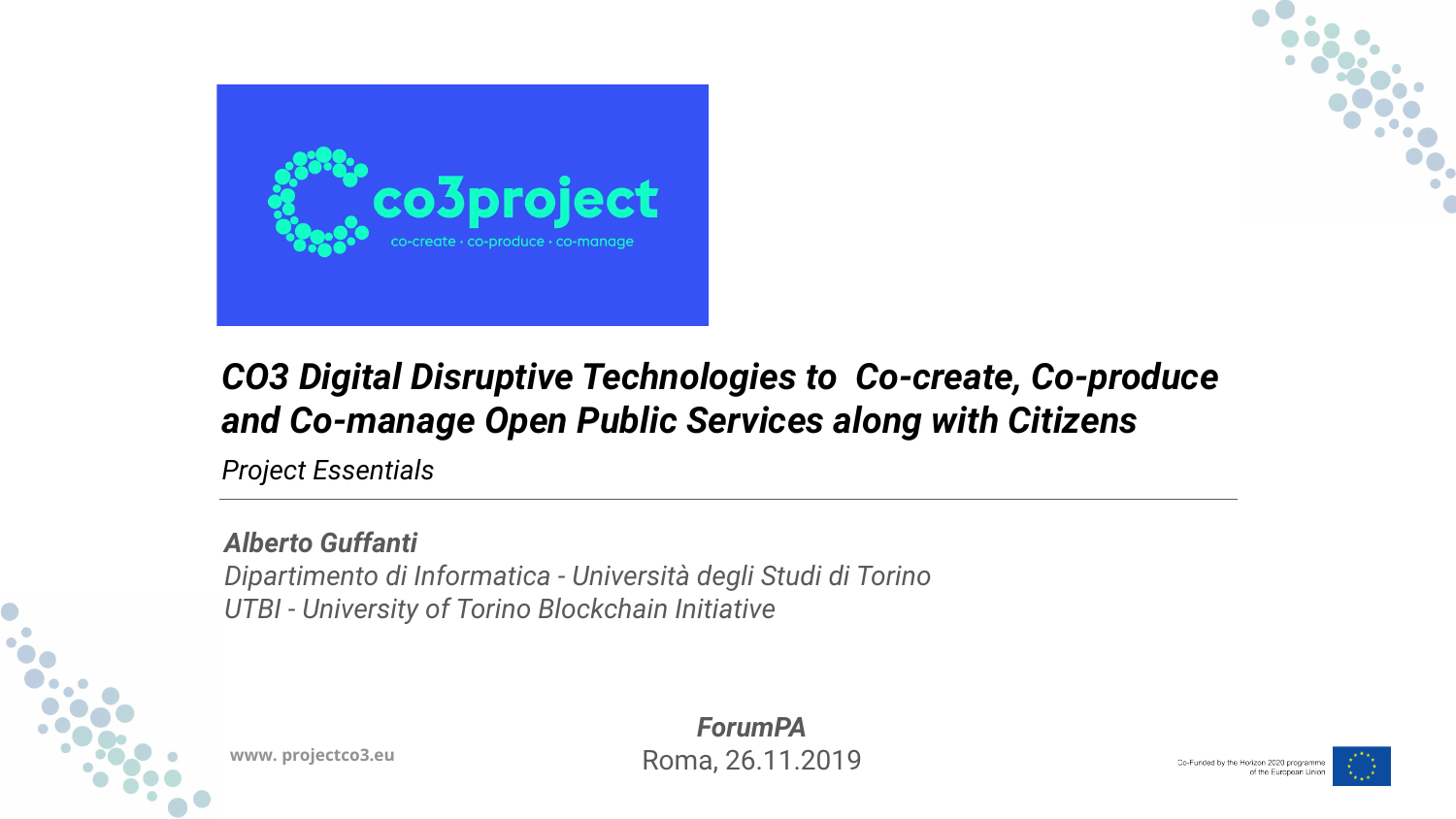

*Project Essentials*



### *CO3 Digital Disruptive Technologies to Co-create, Co-produce and Co-manage Open Public Services along with Citizens*

### *Alberto Guffanti*

*Dipartimento di Informatica - Università degli Studi di Torino UTBI - University of Torino Blockchain Initiative*





Co-Funded by the Horizon 2020 programme of the European Union

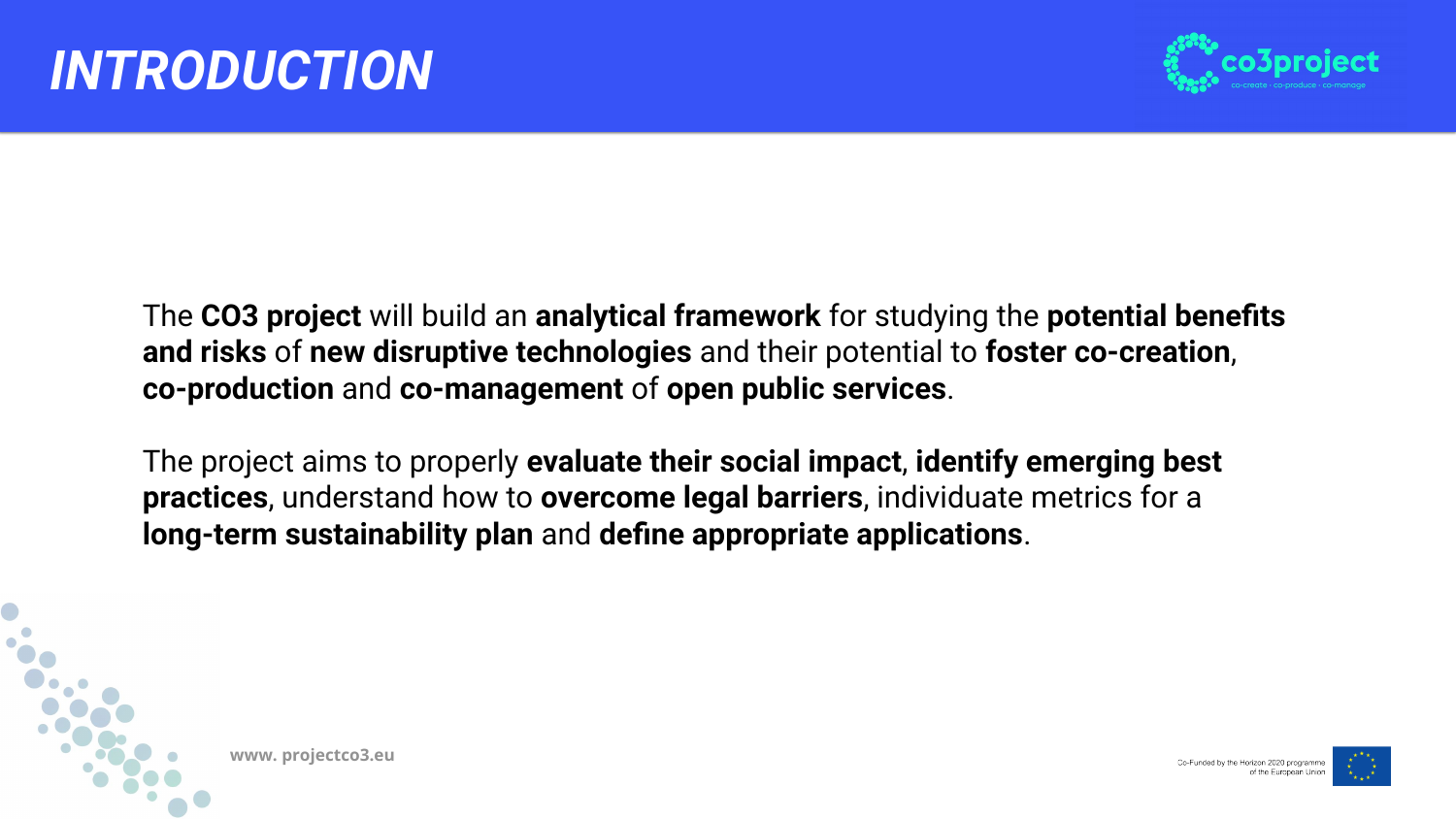

# *INTRODUCTION*

- The **CO3 project** will build an **analytical framework** for studying the **potential benefits and risks** of **new disruptive technologies** and their potential to **foster co-creation**,
- The project aims to properly **evaluate their social impact**, **identify emerging best**







# **co-production** and **co-management** of **open public services**.

**practices**, understand how to **overcome legal barriers**, individuate metrics for a **long-term sustainability plan** and **define appropriate applications**.

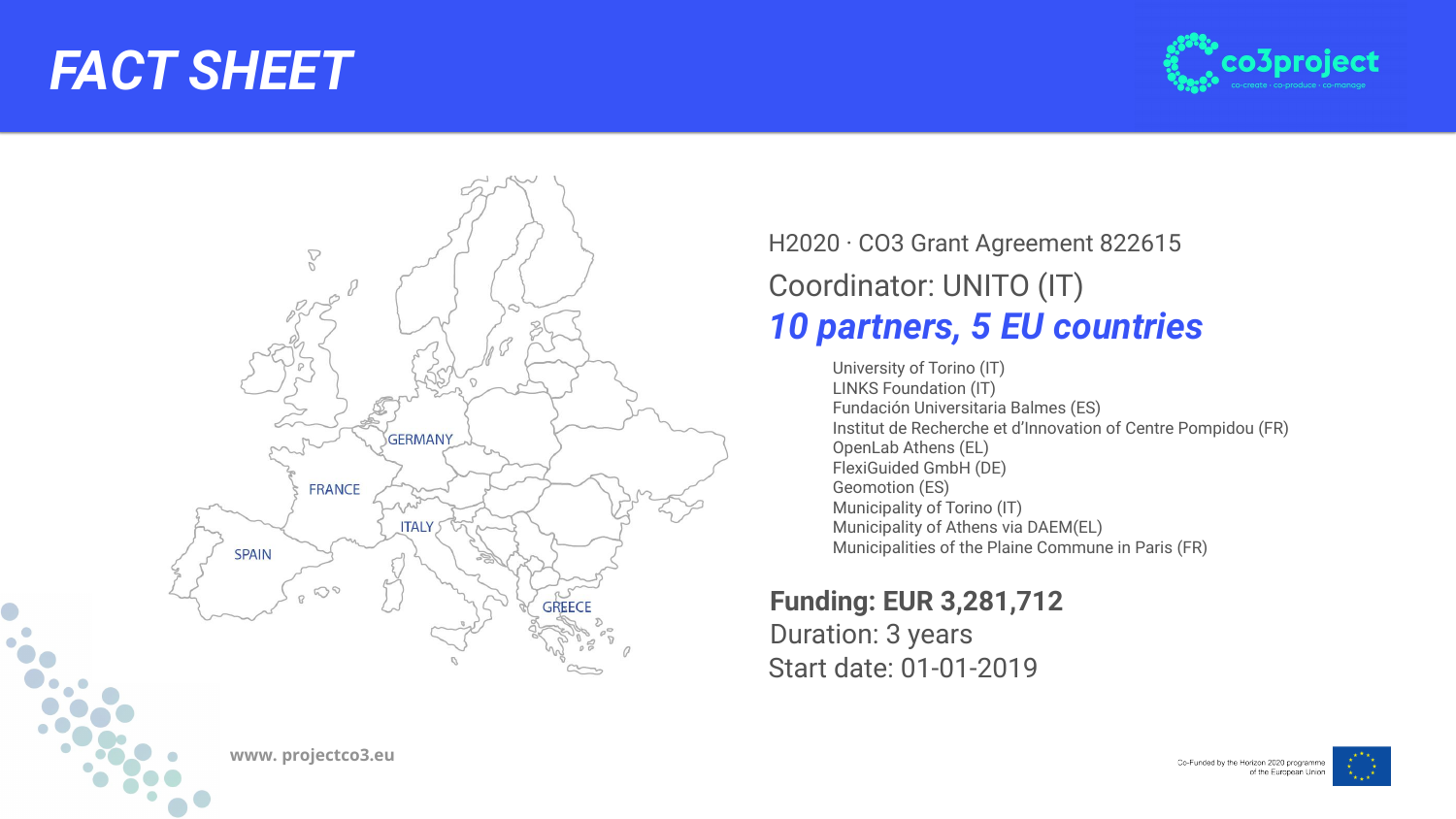



### *FACT SHEET*

### Coordinator: UNITO (IT) *10 partners, 5 EU countries*  H2020 · CO3 Grant Agreement 822615

University of Torino (IT) LINKS Foundation (IT) Fundación Universitaria Balmes (ES) Institut de Recherche et d'Innovation of Centre Pompidou (FR) OpenLab Athens (EL) FlexiGuided GmbH (DE) Geomotion (ES) Municipality of Torino (IT) Municipality of Athens via DAEM(EL) Municipalities of the Plaine Commune in Paris (FR)

### Start date: 01-01-2019 **Funding: EUR 3,281,712** Duration: 3 years

Co-Funded by the Horizon 2020 programme of the European Union



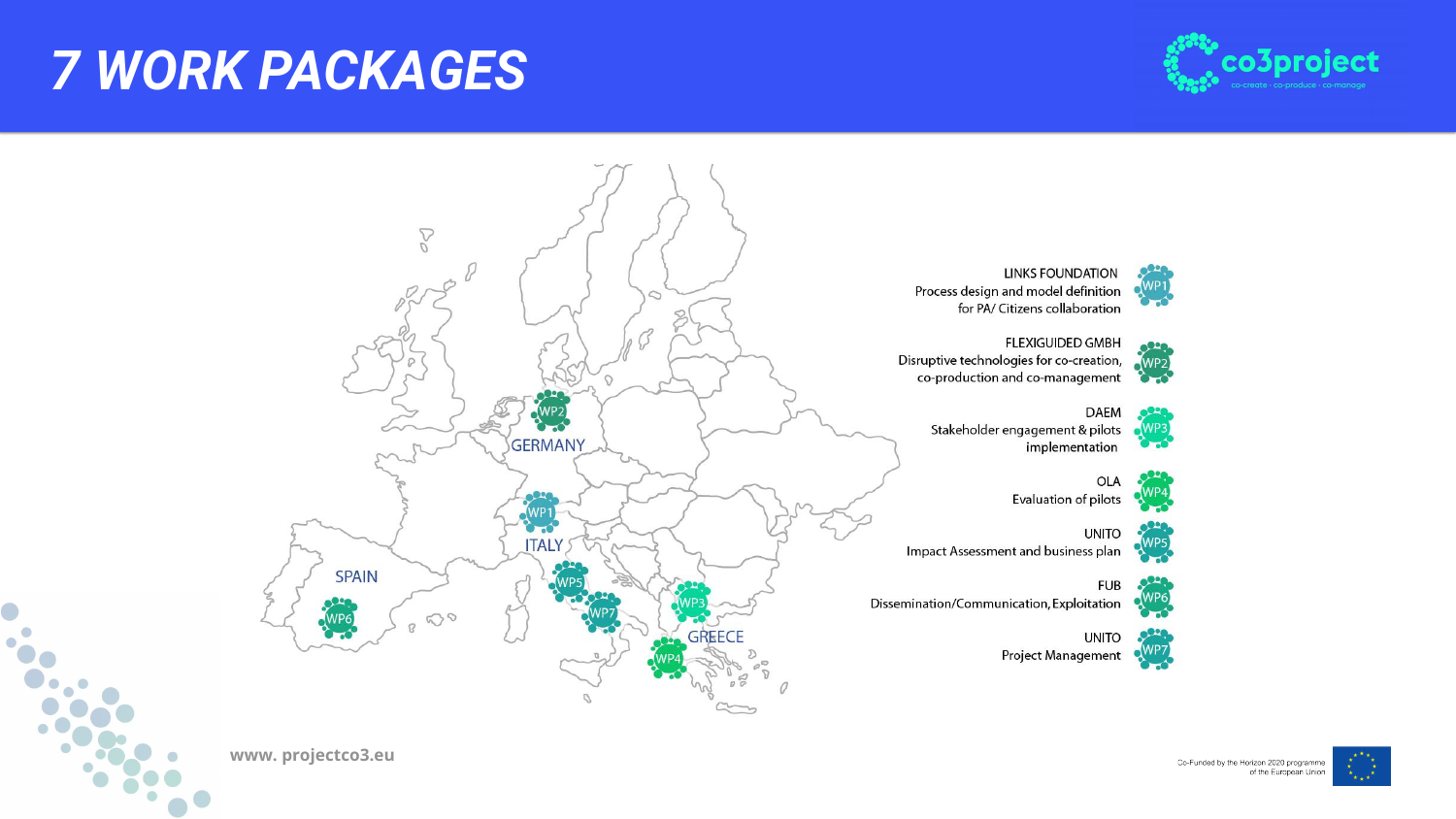



**LINKS FOUNDATION** Process design and model definition for PA/ Citizens collaboration



**FLEXIGUIDED GMBH** Disruptive technologies for co-creation, co-production and co-management



**DAEM** Stakeholder engagement & pilots implementation



OLA Evaluation of pilots



**UNITO** Impact Assessment and business plan



**FUB** Dissemination/Communication, Exploitation

 $\mathcal{D}$ 

D



**UNITO** Project Management



# *7 WORK PACKAGES*



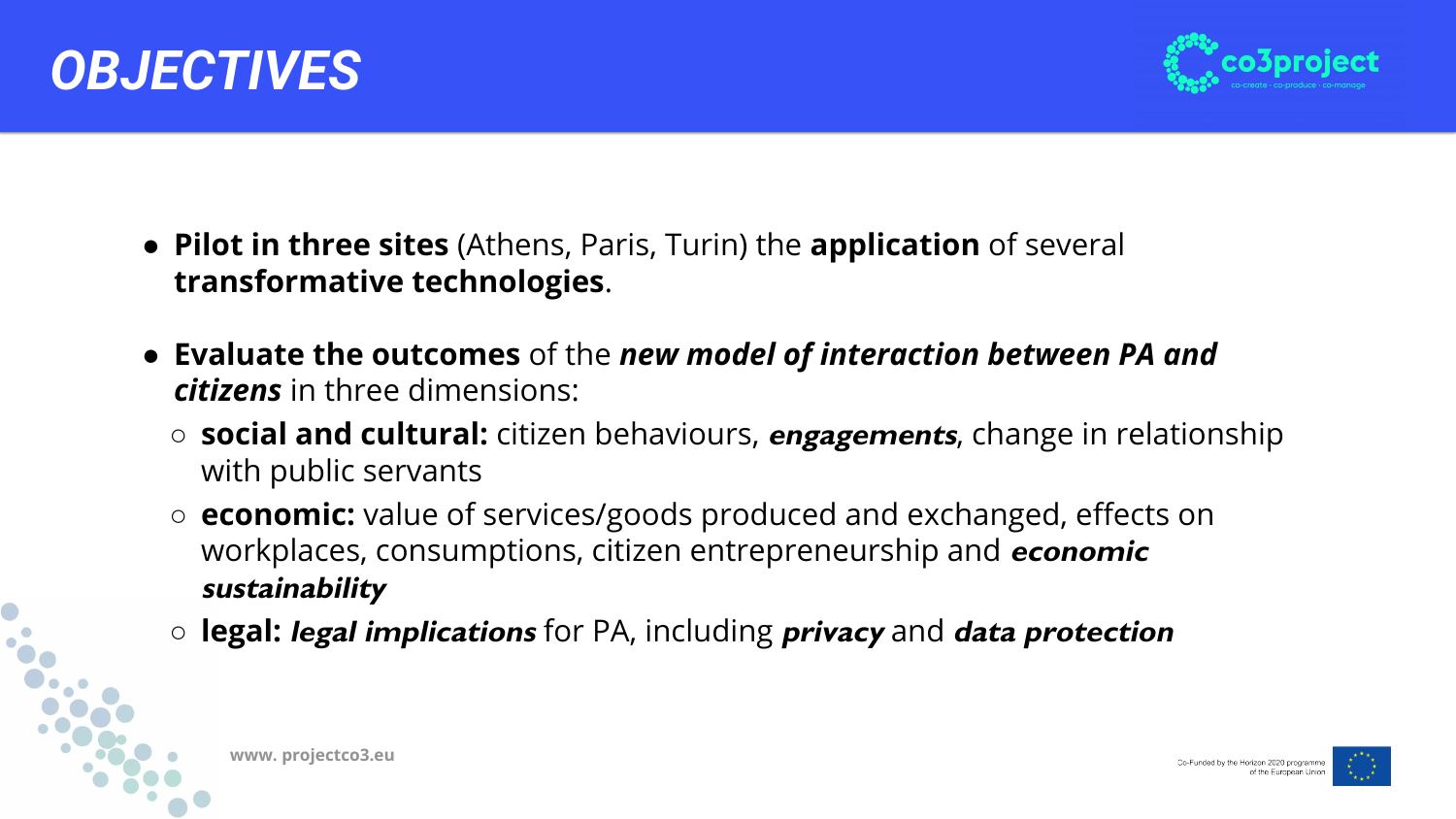

○ **social and cultural:** citizen behaviours, **engagements**, change in relationship

- **Pilot in three sites** (Athens, Paris, Turin) the **application** of several **transformative technologies**.
- **Evaluate the outcomes** of the *new model of interaction between PA and citizens* in three dimensions:
	- with public servants
	- workplaces, consumptions, citizen entrepreneurship and **economic sustainability**
	- **legal: legal implications** for PA, including **privacy** and **data protection**

○ **economic:** value of services/goods produced and exchanged, effects on







# *OBJECTIVES*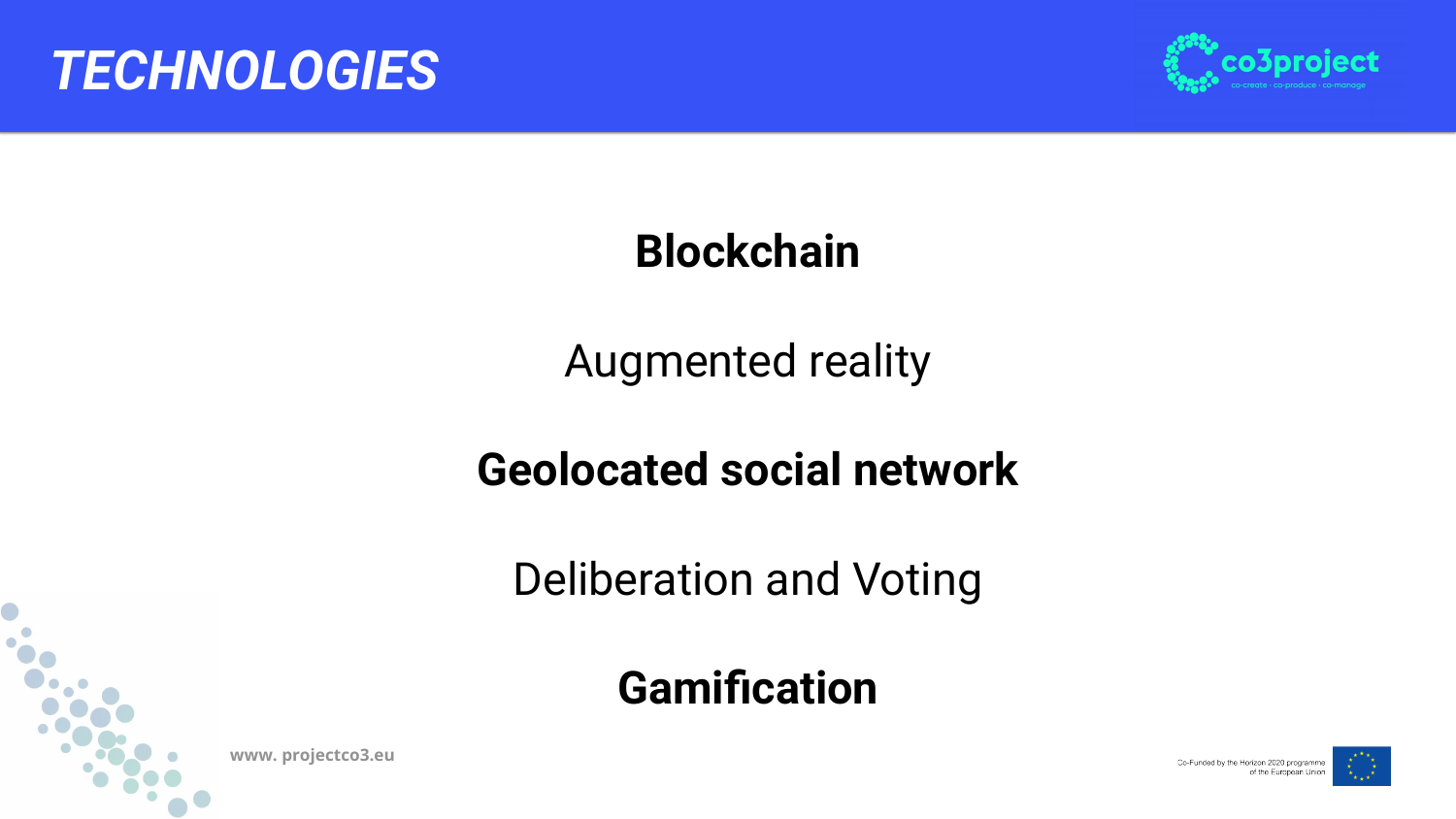

## **Blockchain**

## Augmented reality

# **Geolocated social network**



### Deliberation and Voting

# **Gamification**





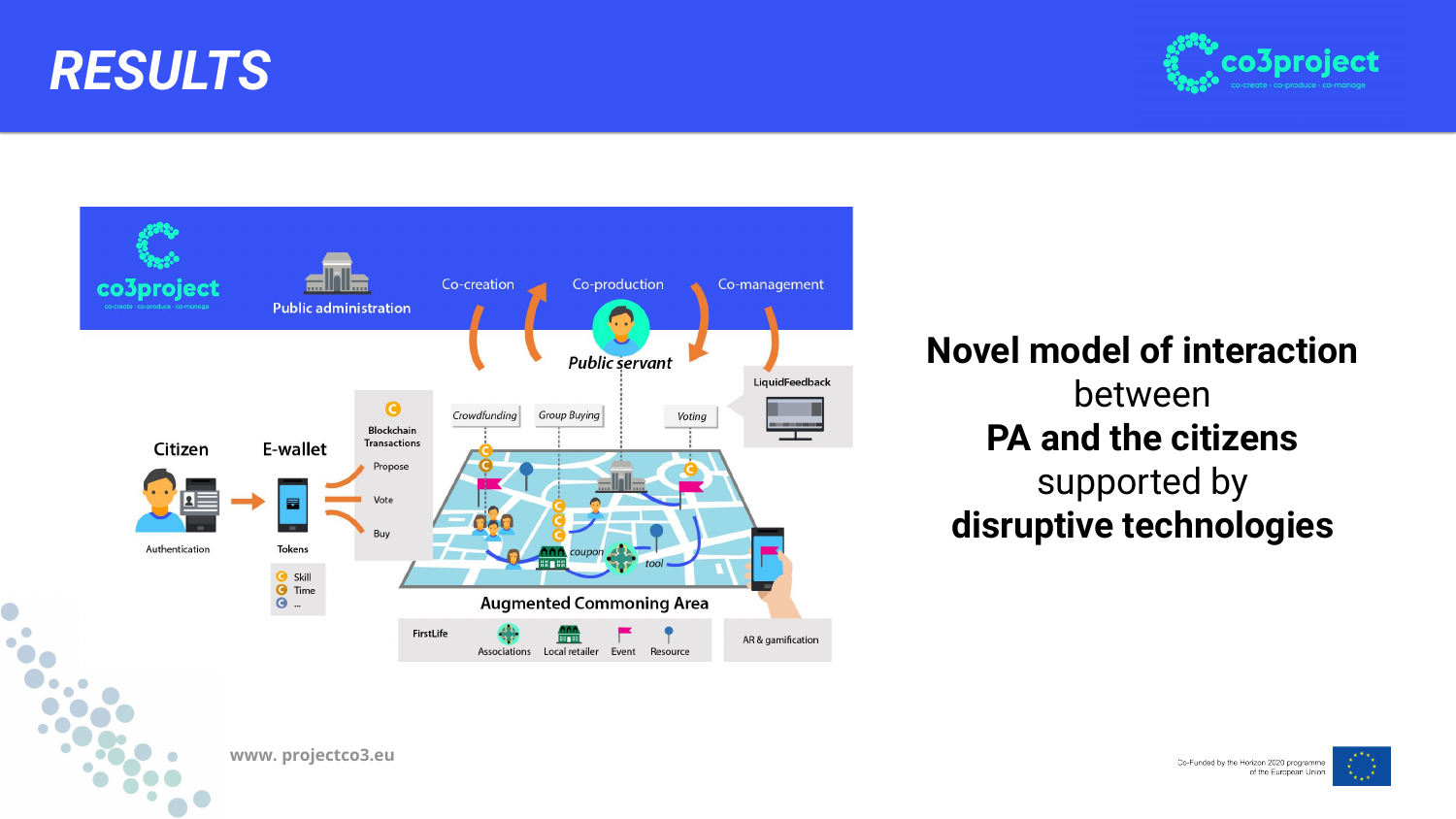





### **Novel model of interaction** between **PA and the citizens** supported by **disruptive technologies**





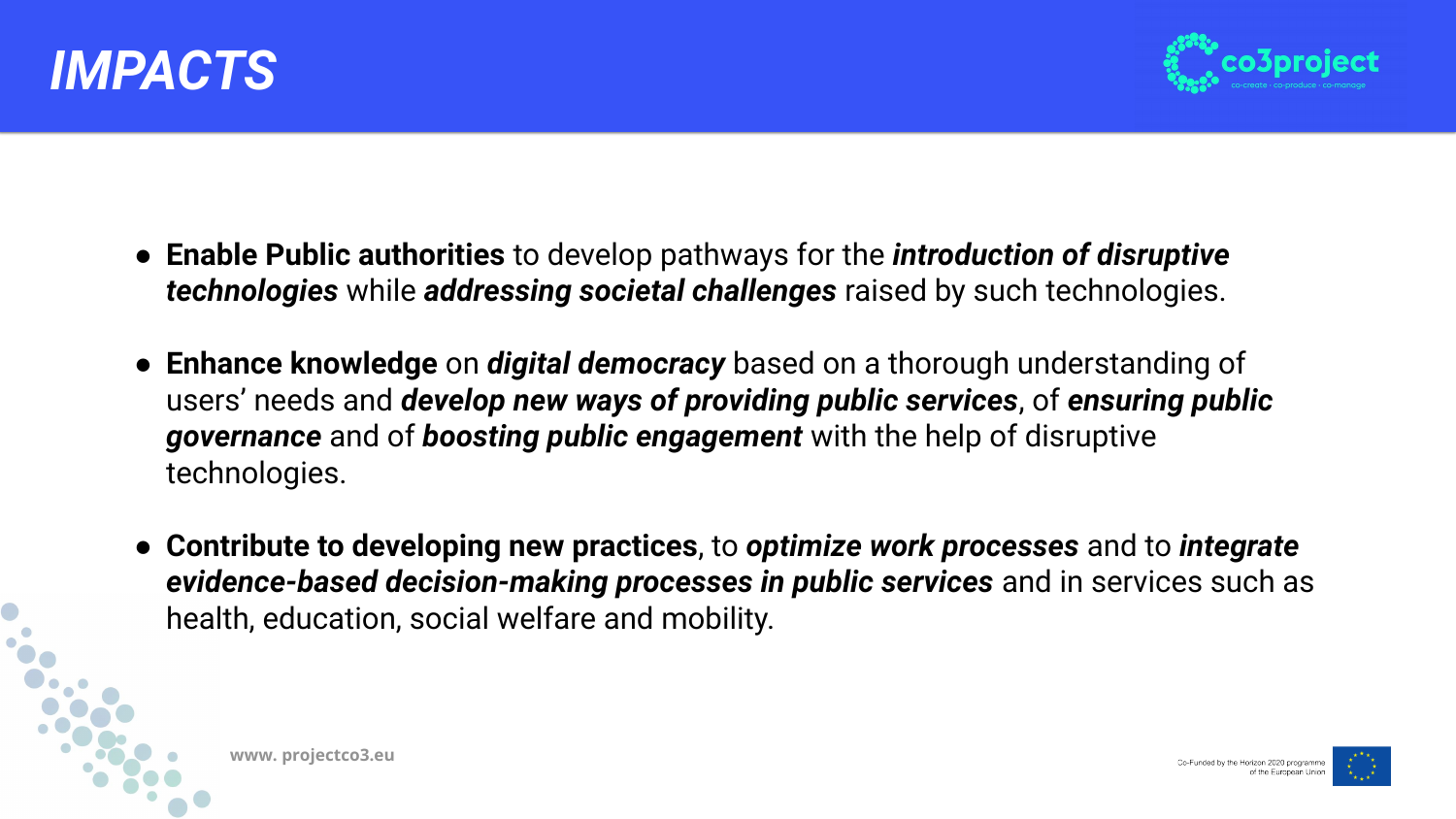





- **Enable Public authorities** to develop pathways for the *introduction of disruptive technologies* while *addressing societal challenges* raised by such technologies.
- **Enhance knowledge** on *digital democracy* based on a thorough understanding of users' needs and *develop new ways of providing public services*, of *ensuring public governance* and of *boosting public engagement* with the help of disruptive technologies.
- **Contribute to developing new practices**, to *optimize work processes* and to *integrate evidence-based decision-making processes in public services* and in services such as health, education, social welfare and mobility.